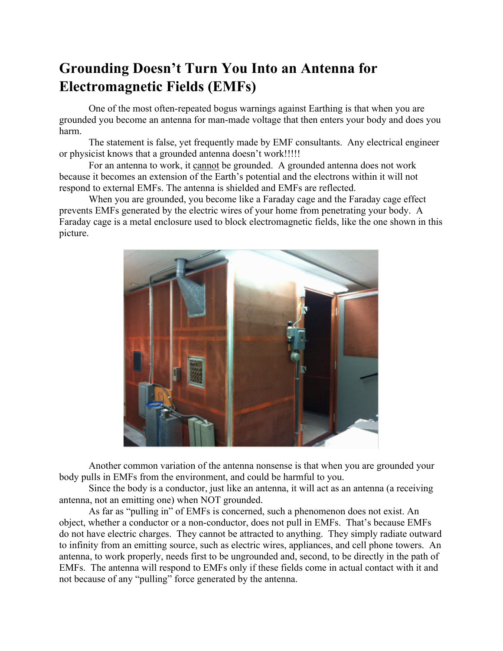## **Grounding Doesn't Turn You Into an Antenna for Electromagnetic Fields (EMFs)**

One of the most often-repeated bogus warnings against Earthing is that when you are grounded you become an antenna for man-made voltage that then enters your body and does you harm.

The statement is false, yet frequently made by EMF consultants. Any electrical engineer or physicist knows that a grounded antenna doesn't work!!!!!

For an antenna to work, it cannot be grounded. A grounded antenna does not work because it becomes an extension of the Earth's potential and the electrons within it will not respond to external EMFs. The antenna is shielded and EMFs are reflected.

When you are grounded, you become like a Faraday cage and the Faraday cage effect prevents EMFs generated by the electric wires of your home from penetrating your body. A Faraday cage is a metal enclosure used to block electromagnetic fields, like the one shown in this picture.



Another common variation of the antenna nonsense is that when you are grounded your body pulls in EMFs from the environment, and could be harmful to you.

Since the body is a conductor, just like an antenna, it will act as an antenna (a receiving antenna, not an emitting one) when NOT grounded.

As far as "pulling in" of EMFs is concerned, such a phenomenon does not exist. An object, whether a conductor or a non-conductor, does not pull in EMFs. That's because EMFs do not have electric charges. They cannot be attracted to anything. They simply radiate outward to infinity from an emitting source, such as electric wires, appliances, and cell phone towers. An antenna, to work properly, needs first to be ungrounded and, second, to be directly in the path of EMFs. The antenna will respond to EMFs only if these fields come in actual contact with it and not because of any "pulling" force generated by the antenna.